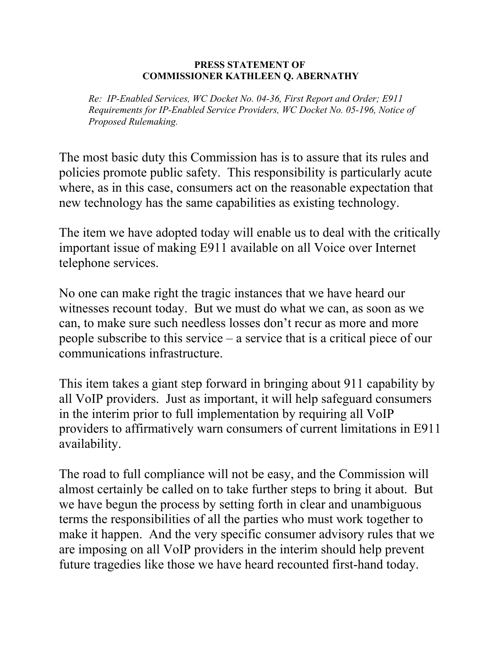## **PRESS STATEMENT OF COMMISSIONER KATHLEEN Q. ABERNATHY**

 *Re: IP-Enabled Services, WC Docket No. 04-36, First Report and Order; E911 Requirements for IP-Enabled Service Providers, WC Docket No. 05-196, Notice of Proposed Rulemaking.* 

The most basic duty this Commission has is to assure that its rules and policies promote public safety. This responsibility is particularly acute where, as in this case, consumers act on the reasonable expectation that new technology has the same capabilities as existing technology.

The item we have adopted today will enable us to deal with the critically important issue of making E911 available on all Voice over Internet telephone services.

No one can make right the tragic instances that we have heard our witnesses recount today. But we must do what we can, as soon as we can, to make sure such needless losses don't recur as more and more people subscribe to this service – a service that is a critical piece of our communications infrastructure.

This item takes a giant step forward in bringing about 911 capability by all VoIP providers. Just as important, it will help safeguard consumers in the interim prior to full implementation by requiring all VoIP providers to affirmatively warn consumers of current limitations in E911 availability.

The road to full compliance will not be easy, and the Commission will almost certainly be called on to take further steps to bring it about. But we have begun the process by setting forth in clear and unambiguous terms the responsibilities of all the parties who must work together to make it happen. And the very specific consumer advisory rules that we are imposing on all VoIP providers in the interim should help prevent future tragedies like those we have heard recounted first-hand today.